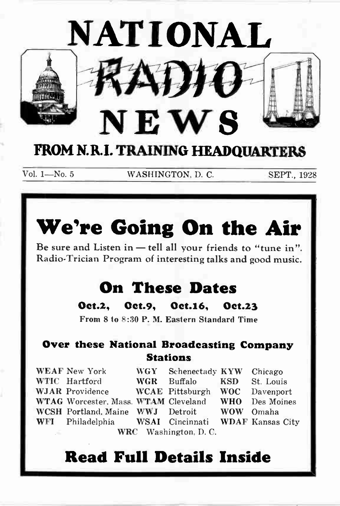

Vol. 1—No. 5 WASHINGTON, D. C. SEPT., 1928

# We're Going On the Air

Be sure and Listen in — tell all your friends to "tune in". Radio-Trician Program of interesting talks and good music.

## On These Dates

Oet.2, Oct.9, Oet.16, Oet.23

From 8 to 8:30 P. M. Eastern Standard Time

### Over these National Broadcasting Company **Stations**

|                                        | <b>WEAF New York</b>                              | WGY        | Schenectady KYW Chicago |            |            |
|----------------------------------------|---------------------------------------------------|------------|-------------------------|------------|------------|
|                                        | WTIC Hartford                                     | <b>WGR</b> | <b>Buffalo</b>          | <b>KSD</b> | St. Louis  |
|                                        | <b>WJAR</b> Providence                            |            | WCAE Pittsburgh WOC     |            | Davenport  |
|                                        | WTAG Worcester, Mass. WTAM Cleveland              |            |                         | <b>WHO</b> | Des Moines |
|                                        | WCSH Portland, Maine WWJ Detroit                  |            |                         | <b>WOW</b> | Omaha      |
|                                        | WFI Philadelphia WSAI Cincinnati WDAF Kansas City |            |                         |            |            |
| WRC Washington, D.C.<br><b>College</b> |                                                   |            |                         |            |            |

## Read Full Details Inside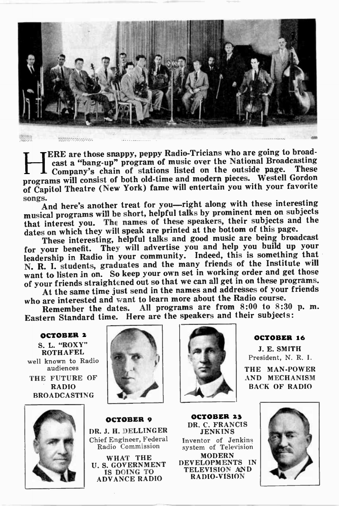

TERE are those snappy, peppy Radio-Tricians who are going to broad-<br>cast a "bang-up" program of music over the National Broadcasting I Company's chain of stations listed on the outside page. These programs will consist of both old-time and modern pieces. Westell Gordon of Capitol Theatre (New York) fame will entertain you with your favorite songs.

And here's another treat for you—right along with these interesting musical programs will be short, helpful talks by prominent men on subjects that interest you. The names of these speakers, their subjects and the dates on which they will speak are printed at the bottom of this page.

These interesting, helpful talks and good music are being broadcast for your benefit. They will advertise you and help you build up your leadership in Radio in your community. Indeed, this is something that N. R. I. students, graduates and the many friends of the Institute will want to listen in on. So keep your own set in working order and get those of your friends straightened out so that we can all get in on these programs. At the same time just send in the names and addresses of your friends

who are interested and want to learn more about the Radio course.

Remember the dates. All programs are from  $8:00$  to  $8:30$  p.m. Eastern Standard time. Here are the speakers and their subjects:

OCTOBER 2 S. L. "ROXY" **ROTHAFEL** well known to Radio audiences THE FUTURE OF RADIO BROADCASTING







OCTOBER 9 DR. J. H. DELLINGER Chief Engineer, Federal Radio Commission

WHAT THE U. S. GOVERNMENT IS DOING TO ADVANCE RADIO

OCTOBER 23 DR. C. FRANCIS JENKINS Inventor of Jenkins system of Television MODERN

DEVELOPMENTS IN TELEVISION AND RADIO-VISION

#### OCTOBER 16

J. E. SMITH President, N. R. I.

THE MAN-POWER AND MECHANISM BACK OF RADIO

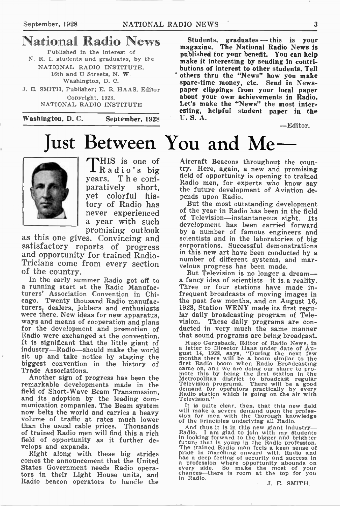## National Radio News

Published in the interest of N. R. I. students and graduates, by the NATIONAL RADIO INSTITUTE, 18th and U Streets, N. W. Washington, D. C.

J. E. SMITH, Publisher; E. R. HAAS. Editor Copyright, 1928. NATIONAL RADIO INSTITUTE

Washington, D. C. September. 1928



THIS is one of 1Radio's big years. T h e coniparatively short, yet colorful history of Radio has never experienced a year with such promising outlook

as this one gives. Convincing and satisfactory reports of progress and opportunity for trained Radio-Tricians come from every section of the country.

In the early summer Radio got off to a running start at the Radio Manufacturers' Association Convention in Chicago. Twenty thousand Radio manufacturers, dealers, jobbers and enthusiasts were there. New ideas for new apparatus, ways and means of cooperation and plans for the development and promotion of Radio were exchanged at the convention. It is significant that the little giant of industry—Radio--should make the world sit up and take notice by staging the biggest convention in the history of Trade Associations.

Another sign of progress has been the remarkable developments made in the field of Short-Wave Beam Transmission, and its adoption by the leading com-munication companies. The Beam system now belts the world and carries a heavy volume of traffic at rates much lower than the usual cable prices. Thousands of trained Radio men will find this a rich field of opportunity as it further develops and expands.

Right along with these big strides comes the announcement that the United States Government needs Radio operators in their Light House units, and Radio beacon operators to hancle the

Students, graduates — this is your magazine. The National Radio News is published for your benefit. You can help make it interesting by sending in contributions of interest to other students. Tell others thru the "News" how you make spare-time money, etc. Send in Newspaper clippings from your local paper about your own achievements in Radio. Let's make the "News" the most interesting, helpful student paper in the U. S. A.

—Editor.

# Just Between You and Me

Aircraft Beacons throughout the country. Here, again, a new and promising field of opportunity is opening to trained Radio men, for experts who know say the future development of Aviation depends upon Radio.

But the most outstanding development of the year in Radio has been in the field of Television—instantaneous sight. Its development has been carried forward by a number of famous engineers and scientists and in the laboratories of big corporations. Successful demonstrations in this new art have been conducted by a number of different systems, and marvelous progress has been made.

But Television is no longer a dream a fancy idea of scientists—it is.a reality. Three or four stations have made infrequent broadcasts of moving images in the past few months, and on August 16, 1928, Station WRNY made its first regular daily broadcasting program of Television. These daily programs are conducted in very much the same manner that sound programs are being broadcast.

riugo Gernsback, Editor of Radio News, in<br>a letter to Director Haas under date of August 14, 1923, says, "During the next few months there will be a boom similar to the<br>first Radio boom when Radio Broadcasting<br>came on, and

It is quite clear, then, that this new field will make a severe demand upon the profes-sion for men with the thorough knowledge of the principles underlying all Radio.

And thus it is in this new giant industry—<br>Radio. I am glad to join with my students<br>in looking forward to the bigger and brighter<br>future that is yours in the Radio profession.<br>The trained Radio man feels a keen sense of<br>p a profession where opportunity abounds on every side. So make the most of your chances—there is room at the top for you In Radio.

J. E. SMITH.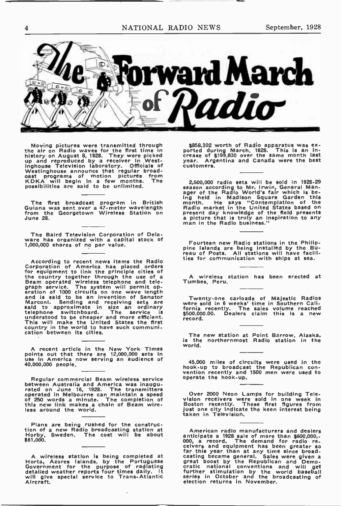4 NATIONAL RADIO NEWS September, 1928



Moving pictures were transmitted through the air on Radio waves for the first time in history on August 8, 1928. They were picked up and reproduced by a receiver in West-inghouse Television laboratory. Officials of Westinghouse announce that regular broad-cast programs of motion pictures from KDKA will begin in a few months. The possibilities are said to be unlimited.

The first broadcast program in British Guiana was sent over a 47-meter wavelength from the Georgetown Wireless Station on from the<br>June 28.

The Baird Television Corporation of Delaware has organized with a capital stock of 1,000,000 shares of no par value.

According to recent news items the Radio<br>Corporation of America has placed orders<br>for equipment to link the principle cities of<br>Beam operated wireless telephone and tele-<br>graph service. The system will permit op-<br>graph ser

A recent article in the New York Times points out that there are 12,000,000 sets in use in America now serving an audience of 40,000,000 people.

Hegular commercial Beam wireless service<br>between Australia and America was inaugu-<br>rated on June 16, 1928. The transmitters<br>operated in Melbourne can maintaln a speed<br>of 250 words a minute. The completion of<br>this new link less around the world.

Plans are being rushed for the construc-tion of a new Radio broadcasting station at Horby, Sweden. The cost will be about Horby, Sweden.<br>\$61,000.

A wireless station is being completed at<br>Horta, Azores Islands, by the Portuguese<br>Government for the purpose of radiating<br>detailed weather reports four times daily. It<br>will give special service to Trans-Atlantic<br>Alreraft.

\$858,302 worth of Radio apparatus was ex-ported during March, 1928. This is an in-crease of \$199.830 over the same month last year. Argentina and Canada were the best customers.

z<sub>o</sub>buo<sub>y</sub>, ou radio sets will be sold in iszo-zz<br>ager of the Radio World's fair which is be-<br>ing held in Madison Square Garden this<br>month. He says "Contemplation of the<br>Radio market in the United States based on present day knowledge of the field presents a picture that is truly an inspiration to any man in the Radio business."

Fourteen new Radio stations in the Philippine Islands are being installed by the Bu-reau of Posts. All stations will have facilities for communication with ships at sea.

wireless station has been erected at Tumbes, Peru.

Twenty-one carloads of Majestic Radios were sold in 6 weeks' time in Southern Cali-fornia recently. The sales volume reached \$500,000.00. Dealers claim this is a new record.

The new station at Point Barrow, Alaska, is the northernmost Radio station in the world.

45,000 miles of circuits were used in the hook-up to broadcast the Republican con-vention recently and 1500 men were used to operate the hook-up.

Over 2000 Neon Lamps for building Television receivers were sold in one week in Boston recently. These first figures from just one city indicate the keen interest being taken in Television.

American radio manufacturers and dealers<br>anticipate a 1928 sale of more than \$600,000,-<br>000, a record, The demand for radio re-<br>ceivers and equipment has been greater so<br>far this year than at any time since broad-<br>casting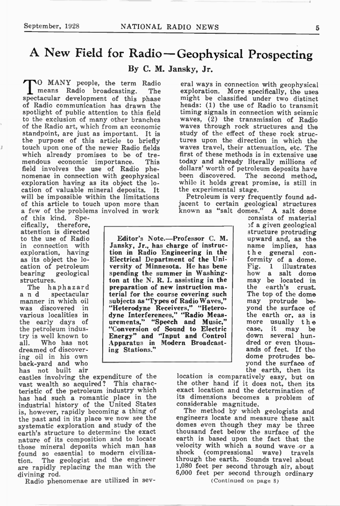## A New Field for Radio—Geophysical Prospecting

By C. M. Jansky, Jr.

**NO MANY** people, the term Radio means Radio broadcasting. The means Radio broadcasting. spectacular development of this phase of Radio communication has drawn the spotlight of public attention to this field to the exclusion of many other branches of the Radio art, which from an economic standpoint, are just as important. It is the purpose of this article to briefly touch upon one of the newer Radio fields which already promises to be of tre-<br>mendous economic importance. This mendous economic importance. field involves the use of Radio phenomenae in connection with geophysical exploration having as its object the location of valuable mineral deposits. It will be impossible within the limitations of this article to touch upon more than a few of the problems involved in work<br>of this kind. Spe-

of this kind. Spe-<br>cifically, therefore. cifically, attention is directed to the use of Radio in connection with exploration, having as its object the location of petroleum bearing geological structures.

The haphazard a n d spectacular manner in which oil was discovered in various localities in the early days of the petroleum industry is well known to all. Who has not dreamed of discovering oil in his own back-yard and who has not built air

castles involving the expenditure of the vast wealth so acquired? This characteristic of the petroleum industry which has had such a romantic place in the industrial history of the United States is, however, rapidly becoming a thing of the past and in its place we now see the systematic exploration and study of the earth's structure to determine the exact nature of its composition and to locate those mineral deposits which man has found so essential to modern civilization. The geologist and the engineer are rapidly replacing the man with the divining rod.

Radio phenomenae are utilized in sev-

eral ways in connection with geophysical exploration. More specifically, the uses might be classified under two distinct heads: (1) the use of Radio to transmit timing signals in connection with seismic waves, (2) the transmission of Radio waves through rock structures and the study of the effect of these rock structures upon the direction in which the waves travel, their attenuation, etc. The first of these methods is in extensive use today and already literally millions of dollars' worth of petroleum deposits have been discovered. The second method, while it holds great promise, is still in the experimental stage.

Petroleum is very frequently found adjacent to certain geological structures known as "salt domes." A salt dome

Editor's Note.—Professor C. M. Jansky, Jr., has charge of instruction in Radio Engineering in the Electrical Department of the University of Minnesota. He has bene spending the summer in Washington at the N. R. I. assisting in the preparation of new instruction material for the course covering such subjects as "Types of Radio Waves," "Heterodyne Receivers," "Heterodyne Interferences," "Radio Measurements," "Speech and Music," "Conversion of Sound to Electric Energy" and "Input and Control Apparatus in Modern Broadcasting Stations."

consists of material 3f a given geological structure protruding upward and, as the name implies, has the general conformity of a dome. Fig. 1 illustrates how a salt dome may be located in the earth's crust. The top of the dome may protrude beyond the surface of the earth or, as is more usually the case, it may be down several hundred or even thousands of feet. If the dome protrudes beyond the surface of the earth, then its

location is comparatively easy, but on the other hand if it does not, then its exact location and the determination of its dimensions becomes a problem of considerable magnitude.

The method by which geologists and engineers locate and measure these salt domes even though they may be three thousand feet below the surface of the earth is based upon the fact that the velocity with which a sound wave -or a shock (compressional wave) travels through the earth. Sounds travel about 1,080 feet per second through air, about 6,000 feet per second through ordinary

(Continued on page 8)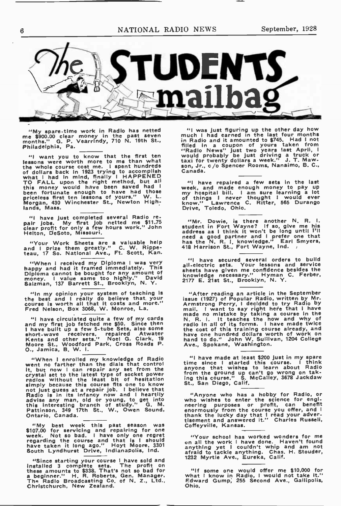

"My spare-time work in Radio has netted me \$900.00 clear money in the past seven months." G. P. VearrIndy, 710 N. 19th St., Philadelphia, Pa.

<sup>41</sup> want you to know that the first ten<br>lessons were worth more to me than what<br>the whole course cost me. I spent hundreds<br>of dollars back in 1923 trying to accomplish<br>what I had In mind, finally I HAPPENED<br>TO FALL upon t

"I have lust completed several Radio re-pair Jobs. My first Job netted me \$11.75 clear profit for only a few hours work." John Helton, DeSoto, Missouri.

"Your Work Sheets are a valuable help and I prize them greatly." C. W. Rippe-teau, 17 So. National Ave., Ft. Scott, Kan.

"When I received my Diploma I was very happy and had it framed immediately. This Diploma cannot be bought for any amount of money. I value same too highly." David Salzman, 137 Barrett St., Brooklyn, N. Y.

"In my opinion your system of teaching is the best and I really do believe that your course is worth all that it costs and more." Fred Nelson, Box 3068, W. Monroe, La.

"I have circulated quite a few of my cards and my first Job fetched me \$50. Since then I have built up a few 5-tube Sets, also some<br>short-wave receivers, repaired Atwater<br>Kents and other sets.'' Noel G. Clark, 19<br>Moore St., Woodford Park, Cross Roads P.<br>O., Jamica, B. W. I.

"When I enrolled my knowledge of Radio<br>went no farther than the dials that control<br>it, but now I can repair any set from the<br>crystal set to the latest type of socket power<br>radios without the least bit of hesitation<br>simply Ontario, Canada.

"My best week this past season was<br>\$107.00 for servicing and repairing for one<br>week. Not so bad. I have only one regret<br>regarding the course and that is I should<br>have taken it long ago." Hoyt Moore, 301<br>South Lyndhurst Dri

"Since starting your course I have sold and<br>installed 3 complete sets. The profit on<br>these amounts to \$338. That's not so bad for<br>a beginner." H. R. Roberts, Gen. Manager,<br>The Radlo Broadcasting Co. of N. Z., Ltd.,<br>Christc

"I was just figuring up the other day now<br>in Radio and it amounted to \$745. Had l not<br>in Radio and it amounted to \$745. Had l not<br>"Radio News" just two years tast April, I<br>"Wavid probably be just driving a truck or<br>taxi fo son, Jr., c/o Spencer Rooms, Nanaimo, B. G., Canada.

"I have repaired a few sets in the last week, and made enough money to pay up my hospital bill. I am sure learning a lot of things I never thought I would ever know." Lawrence C. Ritter, 565 Durango EDRIVE PROTOCOLOGY<br>
Drive, Toledo, Ohio.

"The Dowle, is there another is, it. it<br>address as I think it won't be long until 17!!<br>need a good partner and I prefer one that<br>has the N. R. I, knowledge." Earl Smyers,<br>418 Harrison St., Fort Wayne, Ind.

"I have secured several orders to build all-electric sets. Your lessons and service sheets have given me confidence besides the knowledge necessary." Hyman C. Ferber, 2177 E. 21st St., Brooklyn, N. Y.

"Arter reading an article in the September<br>Armstrong Perry, I decided to try Radio by<br>mail. I want to say right here that I have<br>made no mistake by taking a course In the<br>N. R. I. It teaches the how and why of<br>radio in all have one hundred dollars worth of work on hand to do." John W. Sullivan, 1204 College Ave., Spokane, Washington.

"I have made at least \$200 just in my spare<br>time since I started this course. I think<br>anyone that wishes to learn about Radio<br>from the ground up can't go wrong on tak-<br>ing this course." S. McCalley, 3678 Jackdaw<br>St., San D

"Anyone who has a hobby for Radio, or<br>who wishes to enter the science for engl-<br>neering purposes or profit, can benefit<br>enormously from the course you offer, and i<br>thank the lucky day that I read your adver-<br>therent and an

"Your school has worked wonders for me on all the work I have done. Haven't found anything yet I couldn't whip and am not afraid to tackle anything. Chas. H. Stouder, 1232 Myrtle Ave., Eureka, Calif.

"If some one would offer me \$10,000 for what I know in Radio, I would not take it." Edward Gump, 255 Second Ave., Gallipolis, Ohio.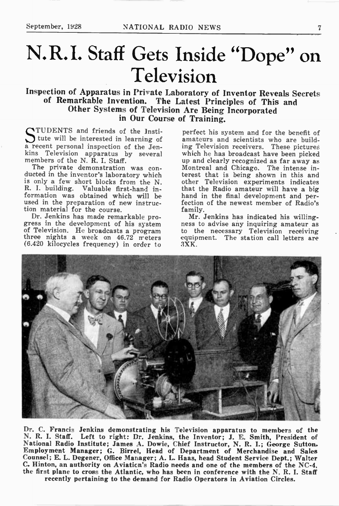# N.R.I. Staff Gets Inside "Dope" on Television

Inspection of Apparatus in Private Laboratory of Inventor Reveals Secrets of Remarkable Invention. The Latest Principles of This and Other Systems of Television Are Being Incorporated in Our Course of Training.

TUDENTS and friends of the Insti-tute will be interested in learning of a recent personal inspection of the Jenkins Television apparatus by several members of the N. R. I. Staff.

The private demonstration was conducted in the inventor's laboratory which is only a few short blocks from the N. R. I. building. Valuable first-hand information was obtained which will be used in the preparation of new instruction material for the course.

Dr. Jenkins has made remarkable progress in the development of his system of Television. He broadcasts a program three nights a week on 46.72 meters (6.420 kilocycles frequency) in order to

perfect his system and for the benefit of amateurs and scientists who are building Television receivers. These pictures which he has broadcast have been picked up and clearly recognized as far away as Montreal and Chicago. The intense interest that is being shown in this and other Television experiments indicates that the Radio amateur will have a big hand in the final development and perfection of the newest member of Radio's family.

Mr. Jenkins has indicated his willingness to advise any inquiring amateur as to the necessary Television receiving equipment. The station call letters are  $3XK$ .



Dr. C. Francis Jenkins demonstrating his Television apparatus to members of the N. R. I. Staff. Left to right: Dr. Jenkins, the Inventor; J. E. Smith, President of National Radio Institute; James A. Dowie, Chief Instructor, N. R. I.; George Sutton, Employment Manager; G. Birrel, Head of Department of Merchandise and Sales Counsel; E. L. Degener, Office Manager; A. L. Haas, head Student Service Dept.; Walter C. Hinton, an authority on Aviaticn's Radio needs and one of the members of the NC-4, the first plane to cross the Atlantic, who has been in conference with the N. R. I. Staff recently pertaining to the demand for Radio Operators in Aviation Circles.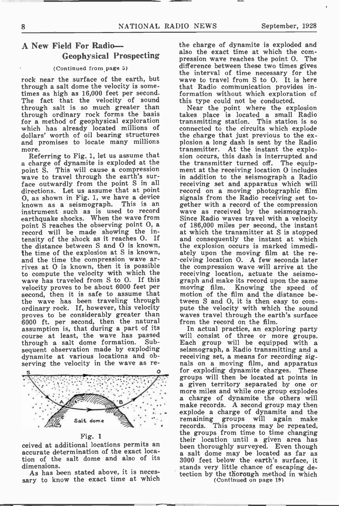#### A New Field For Radio— Geophysical Prospecting

#### (Continued from page 5)

rock near the surface of the earth, but through a salt dome the velocity is sometimes as high as 16,000 feet per second. The fact that the velocity of sound through salt is so much greater than through ordinary rock forms the basis for a method of geophysical exploration which has already located millions of dollars' worth of oil bearing structures and promises to locate many millions more.

Referring to Fig. 1, let us assume that a charge of dynamite is exploded at the point S. This will cause a compression wave to travel through the earth's surface outwardly from the point S in all directions. Let us assume that at point 0, as shown in Fig. 1, we have a device known as a seismograph. instrument such as is used to record earthquake shocks. When the wave from point S reaches the observing point 0, a record will be made showing the in-<br>tensity of the shock as it reaches O. If the distance between S and 0 is known, the time of the explosion at S is known, and the time the compression wave arrives at 0 is known, then it is possible to compute the velocity with which the wave has traveled from S to O. If this velocity proves to be about 6000 feet per second, then it is safe to assume that the wave has been traveling through ordinary rock. If, however, this velocity proves to be considerably greater than 6000 ft. per second, then the natural assumption is, that during a part of its course at least, the wave has passed through a salt dome formation. sequent observation made by exploding dynamite at various locations and observing the velocity in the wave as re-



Fig. 1

ceived at additional locations permits an accurate determination of the exact location of the salt dome and also of its dimensions.

As has been stated above, it is necessary to know the exact time at which the charge of dynamite is exploded and also the exact time at which the compression wave reaches the point O. The difference between these two times gives the interval of time necessary for the wave to travel from S to O. It is here that Radio communication provides information without which exploration of this type could not be conducted.

Near the point where the explosion takes place is located a small Radio transmitting station. This station is so connected to the circuits which explode the charge that just previous to the explosion a long dash is sent by the Radio transmitter. At the instant the explosion occurs, this dash is interrupted and the transmitter turned off. The equipment at the receiving location 0 includes in addition to the seismograph a Radio receiving set and apparatus which will record on a moving photographic film signals from the Radio receiving set together with a record of the compression wave as received by the seismograph. Since Radio waves travel with a velocity of 186,000 miles per second, the instant at which the transmitter at S is stopped and consequently the instant at which the explosion occurs is marked immediately upon the moving film at the re-ceiving location O. A few seconds later the compression wave will arrive at the receiving location, actuate the seismograph and make its record upon the same moving film. Knowing the speed of motion of the film and the distance between S and 0, it is then easy to compute the velocity with which the sound waves travel through the earth's surface from the record on the film.

In actual practice, an exploring party will consist of three or more groups. Each group will be equipped with a seismograph, a Radio transmitting and a receiving set, a means for recording signals on a moving film, and apparatus for exploding dynamite charges. These groups will then be located at points in a given territory separated by one or more miles and while one group explodes a charge of dynamite the others will make records. A second group may then explode a charge of dynamite and the remaining groups will again make records. This process may be repeated, the groups from time to time changing their location until a given area has been thoroughly surveyed. Even though a salt dome may be located as far as 3000 feet below the earth's surface, it stands very little chance of escaping detection by the thorough method in which

(Continued on page 19)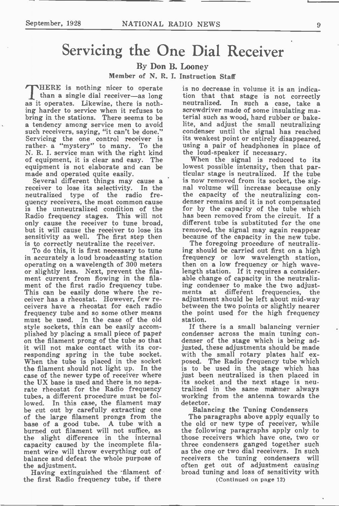## Servicing the One Dial Receiver

By Don B. Looney

Member of N. R. I. Instruction Staff

HERE is nothing nicer to operate than a single dial receiver—as long as it operates. Likewise, there is nothing harder to service when it refuses to bring in the stations. There seems to be a tendency among service men to avoid such receivers, saying, "it can't be done." Servicing the one control receiver is rather. a "mystery" to many. To the N. R. I. service man with the right kind of equipment, it is clear and easy. The equipment is not elaborate and can be made and operated quite easily.

Several different things may cause a receiver to lose its selectivity. In the neutralized type of the radio frequency receivers, the most common cause is the unneutralized condition of the Radio frequency stages. This will not only cause the receiver to tune broad, but it will cause the receiver to lose its sensitivity as well. The first step then is to correctly neutralize the receiver.

To do this, it is first necessary to tune in accurately a loud broadcasting station operating on a wavelength of 300 meters or slightly less. Next, prevent the filament current from flowing in the filament of the first radio frequency tube. This can be easily done where the receiver has a rheostat. However, few receivers have a rheostat for each radio frequency tube and so some other means must be used. In the case of the old style sockets, this can be easily accomplished by placing a small piece of paper on the filament prong of the tube so that it will not make contact with its corresponding spring in the tube socket. When the tube is placed in the socket the filament should not light up. In the case of the newer type of receiver where the UX base is used and there is no separate rheostat for the Radio frequency tubes, a different procedure must be followed. In this case, the filament may be cut out by carefully extracting one of the large filament prongs from the base of a good tube. A tube with a burned out filament will not suffice, as the slight difference in the internal capacity caused by the incomplete filament wire will throw everything out of balance and defeat the whole purpose of the adjustment.

Having extinguished the filament of the first Radio frequency tube, if there is no decrease in volume it is an indication that that stage is not correctly neutralized. In such a case, take a screwdriver made of some insulating material such as wood, hard rubber or bake lite, and adjust the small neutralizing condenser until the signal has reached its weakest point or entirely disappeared, using a pair of headphones in place of the loud-speaker if necessary.

When the signal is reduced to its lowest possible intensity, then that particular stage is neutralized. If the tube is now removed from its socket, the signal volume will increase because only the capacity of the neutralizing condenser remains and it is not compensated for by the capacity of the tube which has been removed from the circuit. If a different tube is substituted for the one removed, the signal may again reappear because of the capacity in the new tube.

The foregoing procedure of neutralizing should be carried out first on a high frequency or low wavelength station, then on a low frequency or high wavelength station. If it requires a considerable change of capacity in the neutralizing condenser to make the two adjustments at different frequencies, the adjustment should be left about mid-way between the two points or slightly nearer the point used for the high frequency station.

If there is a small balancing vernier condenser across the main tuning condenser of the stage which is being adjusted, these adjustments should be made with the small rotary plates half ex-<br>posed. The Radio frequency tube which is to be used in the stage which has just been neutralized is then placed in its socket and the next stage is neutralized in the same manner always working from the antenna towards the detector.

Balancing the Tuning Condensers

The paragraphs above apply equally to the old or new type of receiver, while the following paragraphs apply only to those receivers which have one, two or three condensers ganged together such as the one or two dial receivers. In such receivers the tuning condensers will often get out of adjustment causing broad tuning and loss of sensitivity with

(Continued on page 12)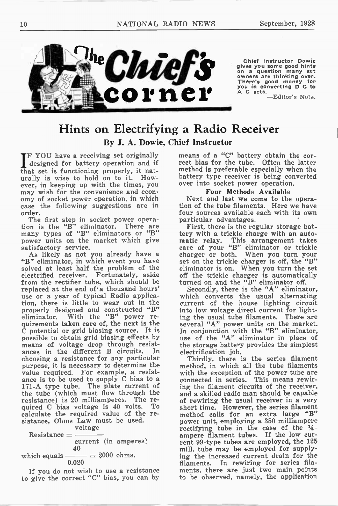

### Hints on Electrifying a Radio Receiver By J. A. Dowie, Chief Instructor

**FF YOU have a receiving set originally** designed for battery operation and if that set is functioning properly, it naturally is wise to hold on to it. However, in keeping up with the times, you may wish for the convenience and economy of socket power operation, in which case the following suggestions are in order.

The first step in socket power operation is the "B" eliminator. There are many types of "B" eliminators or "B" power units on the market which give satisfactory service.

As likely as not you already have a "B" eliminator, in which event you have solved at least half the problem of the electrified receiver. Fortunately, aside from the rectifier tube, which should be replaced at the end of's thousand hours' use or a year of typical Radio application, there is little to wear out in the properly designed and constructed "B" eliminator. With the "B" power requirements taken care of, the next is the C potential or grid biasing source. It is possible to obtain grid biasing effects by means of voltage drop through resist-ances in the different B circuits. In choosing a resistance for any particular purpose, it is necessary to determine the value required. For example, a resistance is to be used to supply C bias to a 171-A type tube. The plate current of the tube (which must flow through the resistance) is 20 milliamperes. The required C bias voltage is 40 volts. calculate the required value of the resistance, Ohms Law must be used.

voltage Resistance  $=$   $$ current (in amperes) 40 which equals  $\_\_=\_\_2$  2000 ohms. 0.020

If you do not wish to use a resistance to give the correct "C" bias, you can by means of a "C" battery obtain the correct bias for the tube. Often the latter method is preferable especially when the battery type receiver is being converted over into socket power operation.

#### Four Methods Available

Next and last we come to the operation of the tube filaments. Here we have four sources available each with its own particular advantages.

First, there is the regular storage battery with a trickle charge with an auto-This arrangement takes care of your "B" eliminator or trickle charger or both. When you turn your set on the trickle charger is off, the "B" eliminator is on. When you turn the set off the trickle charger is automatically turned on and the "B" eliminator off.

Secondly, there is the "A" eliminator, which converts the usual alternating current of the house lighting circuit into low voltage direct current for lighting the usual tube filaments. There are several "A" power units on the market. In conjunction with the "B" eliminator, use of the "A" eliminator in place of the storage battery provides the simplest electrification job.

Thirdly, there is the series filament method, in which all the tube filaments with the exception of the power tube are connected in series. This means rewiring the filament circuits of the receiver, and a skilled radio man should be capable of rewiring the usual receiver in a very short time. However, the series filament method calls for an extra large "B" power unit, employing a 350 milliampere rectifying tube in the case of the  $\frac{1}{4}$ ampere filament tubes. If the low current 99-type tubes are employed, the 125 mill, tube may be employed for supplying the increased current drain for the filaments. In rewiring for series filaments, there are just two main points to be observed, namely, the application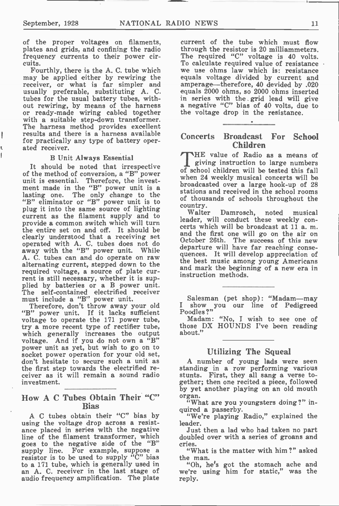ŧ Ÿ. of the proper voltages on filaments, plates and grids, and confining the radio frequency currents to their power circuits.

Fourthly, there is the A. C. tube which may be applied either by rewiring the receiver, or what is far simpler and usually preferable, substituting A. C. tubes for the usual battery tubes, without rewiring, by means of the harness or ready-made wiring cabled together with a suitable step-down transformer. The harness method provides excellent results and there is a harness available for practically any type of battery operated receiver.

#### B Unit Always Essential

It should be noted that irrespective of the method of conversion, a "B" power unit is essential. Therefore, the investment made in the "B" power unit is a lasting one. The only change to the "B" eliminator or "B" power unit is to plug it into the same source of lighting current as the filament supply and to provide a common switch which will turn the entire set on and off. It should be clearly understood that a receiving set operated with A. C. tubes does not do away with the "B" power unit. While A. C. tubes can and do operate on raw alternating current, stepped down to the required voltage, a source of plate current is still necessary, whether it is supplied by batteries or a B power unit. The self-contained electrified receiver<br>must include a "B" power unit.

Therefore, don't throw away your old "B" power unit. If it lacks sufficient voltage to operate the 171 power tube, try a more recent type of rectifier tube, which generally increases the output<br>voltage. And if you do not own a "B" power unit as yet, but wish to go on to socket power operation for your old set, don't hesitate to secure such a unit as the first step towards the electrified receiver as it will remain a sound radio investment.

#### How A C Tubes Obtain Their "C" Bias

A C tubes obtain their "C" bias by using the voltage drop across a resistance placed in series with the negative line of the filament transformer, which goes to the negative side of the "B" supply line. For example, suppose a resistor is to be used to supply "C" bias to a 171 tube, which is generally used in an A. C. receiver in the last stage of audio frequency amplification. The plate

current of the tube which must flow through the resistor is 20 milliammeters. The required "C" voltage is 40 volts. To calculate required value of resistance we use ohms law which is: resistance equals voltage divided by current and amperage—therefore, 40 devided by .020 equals 2000 ohms, so 2000 ohms inserted in series with the grid lead will give a negative "C" bias of 40 volts, due to the voltage drop in the resistance.

#### Concerts Broadcast For School Children

HE value of Radio as a means of giving instruction to large numbers of school children will be tested this fall when 24 weekly musical concerts will be broadcasted over a large hook-up of 28 stations and received in the school rooms of thousands of schools throughout the country.

Walter Damrosch, noted musical leader, will conduct these weekly concerts which will be broadcast at 11 a. m. and the first one will go on the air on October 26th. The success of this new departure will have far reaching consequences. It will develop appreciation of the best music among young Americans and mark the beginning of a new era in instruction methods.

Salesman (pet shop): "Madam—may I show you our line of Pedigreed Poodles ?"

Madam: "No, I wish to see one of those DX HOUNDS I've been reading about."

#### Utilizing The Squeal

A number of young lads were seen standing in a row performing various stunts. First, they all sang a verse together; then one recited a piece, followed by yet another playing on an old mouth organ.

"What are you youngsters doing ?" inquired a passerby.

"We're playing Radio," explained the leader.

Just then a lad who had taken no part doubled over with a series of groans and cries.

"What is the matter with him ?" asked the man.

"Oh, he's got the stomach ache and we're using him for static," was the reply.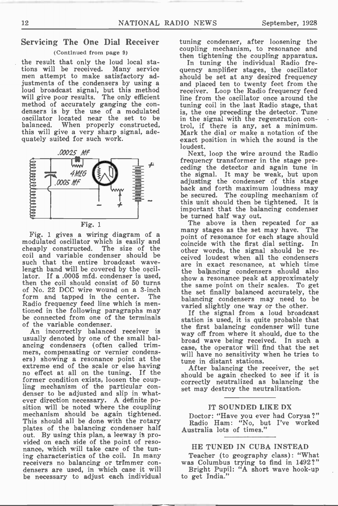#### Servicing The One Dial Receiver

#### (Continued from page 9)

the result that only the loud local stations will be received. Many service men attempt to make satisfactory adjustments of the condensers by using a loud broadcast signal, but this method will give poor results. The only emclent method of accurately ganging the con-densers is by the use of a modulated oscillator located near the set to be balanced. When properly constructed, this will give a very sharp signal, adequately suited for such work.



Fig. 1 gives a wiring diagram of a modulated oscillator which is easily and cheaply constructed. The size of the coil and variable condenser should be such that the entire broadcast wavelength band will be covered by the oscillator. If a .0005 mfd. condenser is used, then the coil should consist of 50 turns of No. 22 DCC wire wound on a 3-inch form and tapped in the center. The Radio frequency feed line which is mentioned in the following paragraphs may be connected from one of the terminals of the variable condenser.

An incorrectly balanced receiver is usually denoted by one of the small balancing condensers (often called trimmers, compensating or vernier condensers) showing a resonance point at the extreme end of the scale or else having no effect at all on the tuning. If the former condition exists, loosen the coupling mechanism of the particular condenser to be adjusted and slip in whatever direction necessary. A definite position will be noted where the coupling mechanism should be again tightened. This should all be done with the rotary plates of the balancing condenser half out. By using this plan, a leeway it provided on each side of the point of resonance, which will take care of the tuning characteristics of the coil. In many receivers no balancing or trimmer condensers are used, in which case it will be necessary to adjust each individual

tuning condenser, after loosening the coupling mechanism, to resonance and then tightening the coupling apparatus.

In tuning the individual Radio frequency amplifier stages, the oscillator should be set at any desired frequency and placed ten to twenty feet from the receiver. Loop the Radio frequency feed line from the oscillator once around the tuning coil in the last Radio stage, that is, the one preceding the detector. Tune in the signal with the regeneration control, if there is any, set a minimum. Mark the dial or make a notation of the exact position in which the sound is the loudest.

Next, loop the wire around the Radio frequency transformer in the stage preceding the detector and again tune in the signal. It may be weak, but upon adjusting the condenser of this stage back and forth maximum loudness may be secured. The coupling mechanism of this unit should then be tightened. It is important that the balancing condenser be turned half way out.

The above is then repeated for as many stages as the set may have. The point of resonance for each stage should coincide with the first dial setting. In other words, the signal should be received loudest when all the condensers are in exact resonance, at which time the balancing condensers should also show a resonance peak at approximately the same point on their scales. To get the set finally balanced accurately, the balancing condensers may need to be varied slightly one way or the other.

If the signal from a loud broadcast station is used, it is quite probable that the first balancing condenser will tune way off from where it should, due to the broad wave being received. In such a case, the operator will find that the set will have no sensitivity when he tries to tune in distant stations.

After balancing the receiver, the set should be again checked to see if it is correctly neutralized as balancing the set may destroy the neutralization.

#### IT SOUNDED LIKE DX

Doctor: "Have you ever had Corysa?" Radio Ham: "No, but I've worked Australia lots of times."

#### HE TUNED IN CUBA INSTEAD

Teacher (to geography class): "What was Columbus trying to find in 1492?"

Bright Pupil: "A short wave hook-up to get India."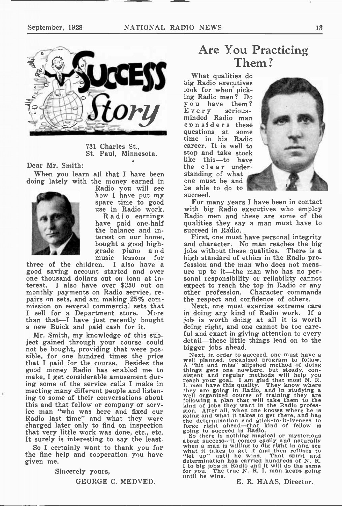

731 Charles St., St. Paul, Minnesota.

Dear Mr. Smith:

When you learn all that I have been doing lately with the money earned in



Radio you will see how I have put my spare time to good use in Radio work. Radio earnings have paid one-half the balance and interest on our home, bought a good highgrade piano and ic lessons for<br>I also have a

•

three of the children. good saving account started and over one thousand dollars out on loan at interest. I also have over \$350 out on monthly payments on Radio service, repairs on sets, and am making 25% commission on several commercial sets that I sell for a Department store. More than that—I have just recently bought a new Buick and paid cash for it.

Mr. Smith, my knowledge of this subject gained through your course could not be bought, providing that were possible, for one hundred times the price that I paid for the course. Besides the good money Radio has enabled me to make, I get considerable amusement during some of the service calls I make in meeting many different people and listening to some of their conversations about this and that fellow or company or service man "who was here and fixed our Radio last time" and what they were charged later only to find on inspection that very little work was done, etc., etc. It surely is interesting to say the least.

So I certainly want to thank you for the fine help and cooperation you have given me.

Sincerely yours,

GEORGE C. MEDVED.

## Are You Practicing Them ?

What qualities do big Radio executives look for when picking Radio men? Do you have them?<br>Every serious- $E$  very minded Radio man c'onsiders these questions at some time in his Radio career. It is well to stop and take stock like this—to have the clear understanding of what one must be and be able to do to succeed.



For many years I have been in contact with big Radio executives who employ Radio men and these are some of the qualities they say a man must have to succeed in Radio.

First, one must have personal integrity and character. No man reaches the big jobs without these qualities. There is a high standard of ethics in the Radio profession and the man who does not measure up to it—the man who has no personal responsibility or reliability cannot expect to reach the top in Radio or any other profession. Character commands the respect and confidence of others.

Next, one must exercise extreme care in doing any kind of Radio work. If a job. is worth doing at all it is worth doing right, and one cannot be too careful and exact in giving attention to every detail—these little things lead on to the

Next, in order to succeed, one must have a<br>Next, in order to succeed, one must have a<br>well planned, organized program to follow.<br>A "hit and miss" slipshod method of doing<br>things gets one nowhere, but steady, con-<br>sistent a the determination and stick-to-it-iveness to forge right ahead—that kind of fellow is going to succeed in Radio.

So there is nothing magnetal or mysterious<br>about success—it comes easily and naturally<br>when a man is willing to dig right in and see<br>what it takes to get it and then refuses to<br>"let up" until he wins. That spirit and<br>deter I to big jobs in Radio and it will do the same for you. The true N. R. L man keeps going until he wins.

E. R. HAAS, Director.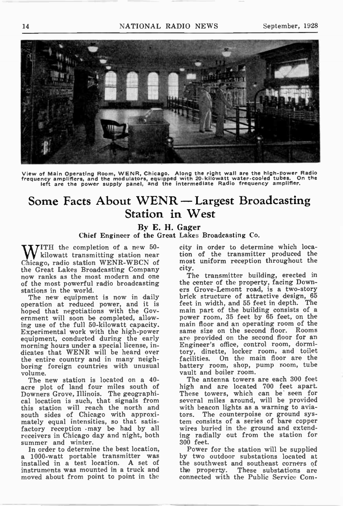

View of Main Operating Room, WENR, Chicago. Along the right wall are the high-power Radio<br>frequency amplifiers, and the modulators, equipped with 20 Kilowatt water-cooled tubes. On the<br>left are the power supply panel, an

## Some Facts About WENR — Largest Broadcasting Station in West

By E. H. Gager

Chief Engineer of the Great Lakes Broadcasting Co.

ITH the completion of a new 50 kilowatt transmitting station near Chicago, radio station WENR-WBCN of the Great Lakes Broadcasting Company now ranks as the most modern and one of the most powerful radio broadcasting stations in the world.

The new equipment is now in daily operation at reduced power, and it is hoped that negotiations with the Government will soon be completed, allowing use of the full 50-kilowatt capacity. Experimental work with the high-power equipment, conducted during the early morning hours under a special license, indicates that WENR will be heard over the entire country and in many neighboring foreign countries with unusual volume.

The new station is located on a 40 acre plot of land four miles south of Downers Grove, Illinois. The geographical location is such, that signals from this station will reach the north and south sides of Chicago with approximately equal intensities, so that satisfactory reception .may be had by all receivers in Chicago day and night, both summer and winter.

In order to determine the best location, a 1000-watt portable transmitter was installed in a test location. A set of instruments was mounted in a truck and moved about from point to point in the city in order to determine which location of the transmitter produced the most uniform reception throughout the city.

The transmitter building, erected in the center of the property, facing Downers Grove-Lemont road, is a two-story brick structure of attractive design, 65 feet in width, and 55 feet in depth. The main part of the building consists of a power room, 35 feet by 65 feet, on the main floor and an operating room of the same size on the second floor. Rooms are provided on the second floor for an Engineer's office, control room, dormitory, dinette, locker room, and toilet facilities. On the main floor are the battery room, shop, pump room, tube vault and boiler room.

The antenna towers are each 300 feet high and are located 700 feet apart. These towers, which can be seen for several miles around, will be provided with beacon lights as a warning to aviators. The counterpoise or ground sys-tem consists of a series of bare copper wires buried in the ground and extending radially out from the station for 300 feet.

Power for the station will be supplied by two outdoor substations located at the southwest and southeast corners of<br>the property. These substations are These substations are connected with the Public Service Com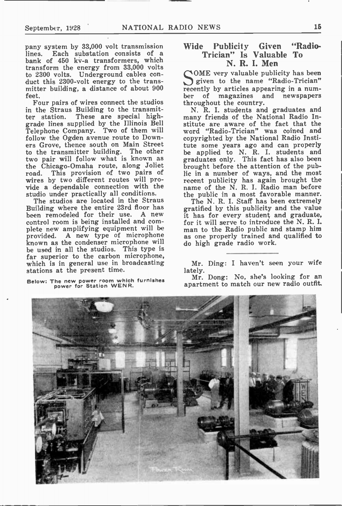pany system by 33,000 volt transmission lines. Each substation consists of a bank of 450 kv-a transformers, which transform the energy from 33,000 volts to 2300 volts. Underground cables conduct this 2300-volt energy to the transmitter building, a distance of about 900 feet.

Four pairs of wires connect the studios in the Straus Building to the transmitter station. These are special highgrade lines supplied by the Illinois Bell Telephone Company. Two of them will follow the Ogden avenue route to Downers Grove, thence south on Main Street<br>to the transmitter building. The other to the transmitter building. two pair will follow what is known as the Chicago-Omaha route, along Joliet road. This provision of two pairs of wires by two different routes will provide a dependable connection with the studio under practically all conditions.

The studios are located in the Straus Building where the entire 23rd floor has been remodeled for their use. A new control room is being installed and complete new amplifying equipment will be provided. A new type of microphone known as the condenser microphone will be used in all the studios. This type is far superior to the carbon microphone, which is in general use in broadcasting stations at the present time.

Below: The new power room which furnishes power for Station WENR.

#### wide Publicity Given Radio-Trician" Is Valuable To N. R. I. Men

OME very valuable publicity has been given to the name "Radio-Trician" recently by articles appearing in a num-<br>ber of magazines and newspapers ber of magazines throughout the country.

N. R. I. students and graduates and many friends of the National Radio Institute are aware of the fact that the word "Radio-Trician" was coined and copyrighted by the National Radio Institute some years ago and can properly be applied to N. R. I. students and graduates only. This fact has also been brought before the attention of the public in a number of ways, and the most recent publicity has again brought the name of the N. R. I. Radio man before the public in a most favorable manner.

The N. R. I. Staff has been extremely gratified by this publicity and the value it has for every student and graduate, for it will serve to introduce the N. R. I. man to the Radio public and stamp him as one properly trained and qualified to do high grade radio work.

Mr. Ding: I haven't seen your wife lately.

Mr. Dong: No, she's looking for an apartment to match our new radio outfit.

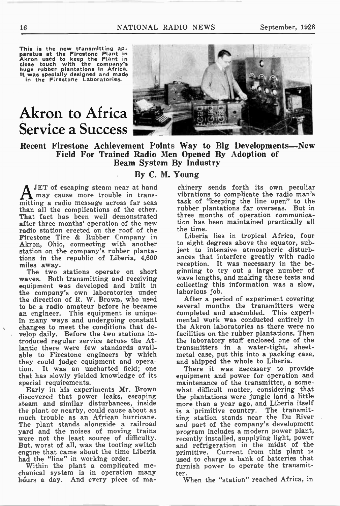This is the new transmitting ap-<br>paratus at the Firestone Plant in<br>Akron used to keep the Plant in<br>those touch with the company's<br>huge rubber plantations in Africa,<br>it was specially designed and made<br>in the Firestone Labor

## Akron to Africa Service a Success



Recent Firestone Achievement Points Way to Big Developments—New Field For Trained Radio Men Opened By Adoption of Beam System By Industry

#### By C. M. Young

JET of escaping steam near at hand may cause more trouble in transmitting a radio message across far seas than all the complications of the ether. That fact has been well demonstrated after three months' operation of the new radio station erected on the roof of the Firestone Tire & Rubber Company in Akron, Ohio, connecting with another station on the company's rubber plantations in the republic of Liberia, 4,600 miles away.

The two stations operate on short waves. Both transmitting and receiving equipment was developed and built in the company's own laboratories under the direction of R. W. Brown, who used to be a radio amateur before he became an engineer. This equipment is unique in many ways and undergoing constant changes to meet the conditions that develop daily. Before the two stations introduced regular service across the Atlantic there were few standards available to Firestone engineers by which they could judge equipment and operation. It was an uncharted field; one that has slowly yielded knowledge of its special requirements.

Early in his experiments Mr. Brown discovered that power leaks, escaping steam and similar disturbances, inside the plant or nearby, could cause about as much trouble as an African hurricane. The plant stands alongside a railroad yard and the noises of moving trains were not the least source of difficulty. But, worst of all, was the tooting switch engine that came about the time Liberia had the "line" in working order.

Within the plant a complicated mechanical system is in operation many hours a day. And every piece of ma-

chinery sends forth its own peculiar vibrations to complicate the radio man's task of "keeping the line open" to the rubber plantations far overseas. But in three months of operation communication has been maintained practically all the time.

Liberia lies in tropical Africa, four to eight degrees above the equator, subject to intensive atmospheric disturbances that interfere greatly with radio reception. It was necessary in the beginning to try out a large number of wave lengths, and making these tests and collecting this information was a slow, laborious job.

After a period of experiment covering several months the transmitters were completed and assembled. This experimental work was conducted entirely in the Akron laboratories as there were no facilities on the rubber plantations. Then the laboratory staff enclosed one of the transmitters in a water-tight, sheetmetal case, put this into a packing case, and shipped the whole to Liberia.

There it was necessary to provide equipment and power for operation and maintenance of the transmitter, a somewhat difficult matter, considering that the plantations were jungle land a little more than a year ago, and Liberia itself is a primitive country. The transmitting station stands near the Du River and part of the company's development program includes a modern power plant, recently installed, supplying light, power and refrigeration in the midst of the primitive. Current from this plant is used to charge a bank of batteries that furnish power to operate the transmitter.

When the "station" reached Africa, in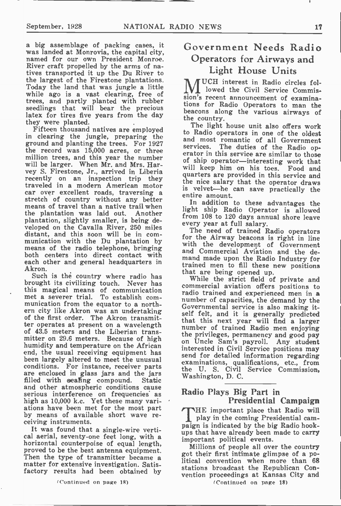a big assemblage of packing cases, it was landed at Monrovia, the capital city, named for our own President Monroe. River craft propelled by the arms of natives transported it up the Du River to the largest of the Firestone plantations. Today the land that was jungle a little while ago is a vast clearing, free of trees, and partly planted with rubber seedlings that will bear the precious latex for tires five years from the day they were planted.

Fifteen thousand natives are employed in clearing the jungle, preparing the ground and planting the trees. For 1927 the record was 15,000 acres, or three million trees, and this year the number will be larger. When Mr. and Mrs. Harvey S. Firestone, Jr., arrived in Liberia recently on an inspection trip they traveled in a modern American motor car over excellent roads, traversing a stretch of country without any better means of travel than a native trail when the plantation was laid out. Another plantation, slightly smaller, is being developed on the CavaIla River, 250 miles distant, and this soon will be in communication with the Du plantation by means of the radio telephone, bringing both centers into direct contact with each other and general headquarters in Akron.

Such is the country where radio has brought its civilizing touch. Never has this magical means of communication met a severer trial. To establish communication from the equator to a northern city like Akron was an undertaking of the first order. The Akron transmitter operates at present on a wavelength of 43.5 meters and the Liberian transmitter on 29.6 meters. Because of high humidity and temperature on the African end, the usual receiving equipment has been largely altered to meet the unusual conditions. For instance, receiver parts are enclosed in glass jars and the jars<br>filled with sealing compound. Static filled with sealing compound. and other atmospheric conditions cause serious interference on frequencies' as high as 10,000 k.c. Yet these many variations have been met for the most part by means of available short wave receiving instruments.

It was found that a single-wire vertical aerial, seventy-one feet long, with a horizontal counterpoise of equal length, proved to be the best antenna equipment. Then the type of transmitter became a matter for extensive investigation. Satisfactory results had been obtained by

### Government Needs Radio Operators for Airways and Light House Units

UCH interest in Radio circles foll lowed the Civil Service Commission's recent announcement of examinations for Radio Operators to man the beacons along the various airways of the country.

The light house unit also offers work to Radio operators in one of the oldest and most romantic of all Government services. The duties of the Radio operator in this service are similar to those of ship operator—interesting work that will keep him on his toes. Food and quarters are provided in this service and the nice salary that the operator draws is velvet—he can save practically the entire amount.

In addition to these advantages the light ship Radio Operator is allowed from 108 to 120 days annual shore leave every year at full salary.

The need of trained Radio operators for the Airway beacons is right in line with the development of Government and Commercial Aviation and the demand made upon the Radio Industry for trained men to fill these new positions that are being opened up.

While the strict field of private and commercial aviation offers positions to radio trained and experienced men in a number of capacities, the demand by the Governmental service is also making itself felt, and it is generally predicted that this next year will find a larger number of trained Radio men enjoying the privileges, permanency and good pay on Uncle Sam's payroll. Any student interested in Civil Service positions may send for detailed information regarding examinations, qualifications, etc., from the U. S. Civil Service Commission, Washington, D. C.

#### Radio Plays Big Part in Presidential Campaign

THE important place that Radio will play in the coming Presidential campaign is indicated by the big Radio hookups that have already been made to carry important political events.

Millions of people all over the country got their first intimate glimpse of a political convention when more than 68 stations broadcast the Republican Convention proceedings at Kansas City and

(Continued on page 18)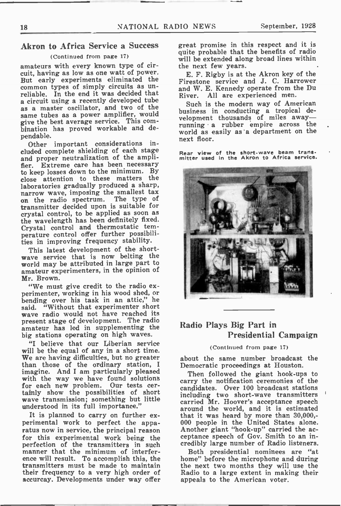#### Akron to Africa Service a Success

#### (Continued from page 17)

amateurs with every known type of circuit, having as low as one watt of power. But early experiments eliminated the common types of simply circuits as unreliable. In the end it was decided that a circuit using a recently developed tube as a master oscillator, and two of the same tubes as a power amplifier, would give the best average service. This combination has proved workable and dependable.

Other important considerations included complete shielding of each stage and proper neutralization of the amplifier. Extreme care has been necessary to keep losses down to the minimum. By close attention to these matters the laboratories gradually produced a sharp, narrow wave, imposing the smallest tax<br>on the radio spectrum. The type of on the radio spectrum. transmitter decided upon is suitable for crystal control, to be applied as soon as the wavelength has been definitely fixed. Crystal control and thermostatic temperature control offer further possibilities in improving frequency stability.

This latest development of the shortwave service that is now belting the world may be attributed in large part to amateur experimenters, in the opinion of Mr. Brown.

"We must give credit to the radio experimenter, working in his wood shed, or bending over his task in an attic," he said. "Without that experimenter short wave radio would not have reached its present stage of development. The radio amateur has led in supplementing the big stations operating on high waves.

"I believe that our Liberian service will be the equal of any in a short time. We are having difficulties, but no greater than those of the ordinary station, I imagine. And I am particularly pleased with the way we have found solutions for each new problem. Our tests certainly show the possibilities of short wave transmission; something but little understood in its full importance."

It is planned to carry on further experimental work to perfect the apparatus now in service, the principal reason for this experimental work being the perfection of the transmitters in such manner that the minimum of interference will result. To accomplish this, the transmitters must be made to maintain their frequency to a very high order of accurcay. Developments under way offer great promise in this respect and it is quite probable that the benefits of radio will be extended along broad lines within the next few years.

E. F. Rigby is at the Akron key of the Firestone service and J. C. Harrower and W. E. Kennedy operate from the Du River. All are experienced men.

Such is the modern way of American business in conducting a tropical de-velopment thousands of miles away running a rubber empire across the world as easily as a department on the next floor.

Rear view of the short-wave beam trans. mitter used in the Akron to Africa service.



#### Radio Plays Big Part in Presidential Campaign

#### (Continued from page 17)

about the same number broadcast the Democratic proceedings at Houston.

Then followed the giant hook-ups to carry the notification ceremonies of the candidates. Over 100 broadcast stations including two short-wave transmitters carried Mr. Hoover's acceptance speech around the world, and it is estimated that it was heard by more than 30,000,- 000 people in the United States alone. Another giant "hook-up" carried the acceptance speech of Gov. Smith to an incredibly large number of Radio listeners.

Both presidential nominees are "at home" before the microphone and during the next two months they will use the Radio to a large extent in making their appeals to the American voter.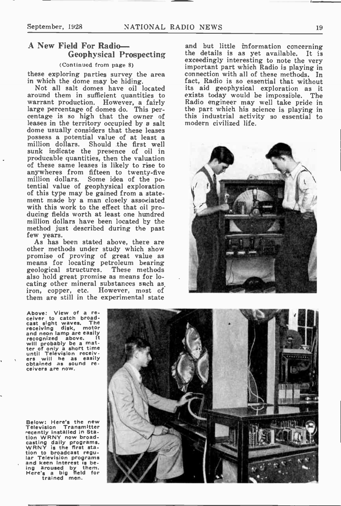#### A New Field For Radio— Geophysical Prospecting

#### (Continued from page 8)

these exploring parties survey the area in which the dome may be hiding.

Not all salt domes have oil located around them in sufficient quantities to warrant production. However, a fairly large percentage of domes do. This percentage is so high that the owner of leases in the territory occupied by a salt dome usually considers that these leases possess a potential value of at least a million dollars. Should the first well sunk indicate the presence of oil in producable quantities, then the valuation of these same leases is likely to rise to anywheres from fifteen to twenty-five million dollars. Some idea of the po-tential value of geophysical exploration of this type may be gained from a statement made by a man closely associated with this work to the effect that oil producing fields worth at least one hundred million dollars have been located by the method just described during the past few years.

As has been stated above, there are other methods under study which show promise of proving of great value as means for locating petroleum bearing geological structures. These methods also hold great promise as means for locating other mineral substances such as iron, copper, etc. However, most of them are still in the experimental state

and but little information concerning the details is as yet available. It is exceedingly interesting to note the very important part which Radio is playing in connection with all of these methods. In fact. Radio is so essential that without its aid geophysical exploration as it exists today would be impossible. The Radio engineer may well take pride in the part which his science is playing in this industrial activity so essential to modern civilized life.



Above: View of a re-ceiver to catch broad-cast sight waves. The receiving disk, motor receiving disk, motor<br>and neon lamp are easily<br>recognized above. recognized above.<br>
ter of only a short time<br>
ter of only a short time<br>
until Television receiv-<br>
ers will he as easily<br>
obtained as sound receivers are now.

Below: Here's the new Television Transmitter eecently installed in Sta-tion WRNY now broadcasting daily programs. WRNY is the first station to broadcast regu-lar Television programs and keen interest is be-<br>ing aroused by them. ing aroused by them. Here's a big field for

trained men.